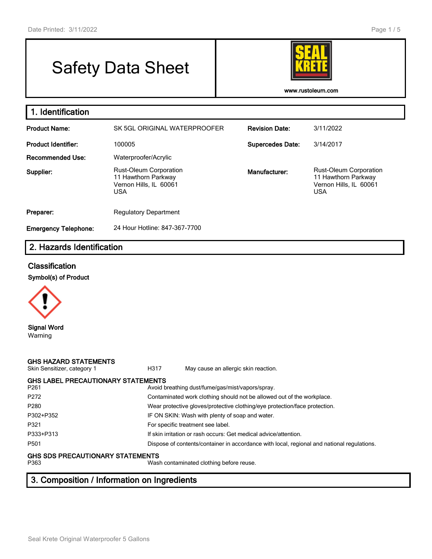# Safety Data Sheet



**www.rustoleum.com**

| 1. Identification           |                                                                                              |                         |                                                                                              |
|-----------------------------|----------------------------------------------------------------------------------------------|-------------------------|----------------------------------------------------------------------------------------------|
| <b>Product Name:</b>        | SK 5GL ORIGINAL WATERPROOFER                                                                 | <b>Revision Date:</b>   | 3/11/2022                                                                                    |
| <b>Product Identifier:</b>  | 100005                                                                                       | <b>Supercedes Date:</b> | 3/14/2017                                                                                    |
| <b>Recommended Use:</b>     | Waterproofer/Acrylic                                                                         |                         |                                                                                              |
| Supplier:                   | <b>Rust-Oleum Corporation</b><br>11 Hawthorn Parkway<br>Vernon Hills, IL 60061<br><b>USA</b> | Manufacturer:           | <b>Rust-Oleum Corporation</b><br>11 Hawthorn Parkway<br>Vernon Hills, IL 60061<br><b>USA</b> |
| Preparer:                   | <b>Regulatory Department</b>                                                                 |                         |                                                                                              |
| <b>Emergency Telephone:</b> | 24 Hour Hotline: 847-367-7700                                                                |                         |                                                                                              |

#### **2. Hazards Identification**

#### **Classification**

#### **Symbol(s) of Product**



Warning

#### **GHS HAZARD STATEMENTS**

H317 May cause an allergic skin reaction.

#### **GHS LABEL PRECAUTIONARY STATEMENTS**<br>P261 Avoid b Avoid breathing dust/fume/gas/mist/vapors/spray. P272 Contaminated work clothing should not be allowed out of the workplace. P280 Wear protective gloves/protective clothing/eye protection/face protection. P302+P352 IF ON SKIN: Wash with plenty of soap and water. P321 For specific treatment see label. P333+P313 If skin irritation or rash occurs: Get medical advice/attention. P501 Dispose of contents/container in accordance with local, regional and national regulations.

## **GHS SDS PRECAUTIONARY STATEMENTS**

Wash contaminated clothing before reuse.

### **3. Composition / Information on Ingredients**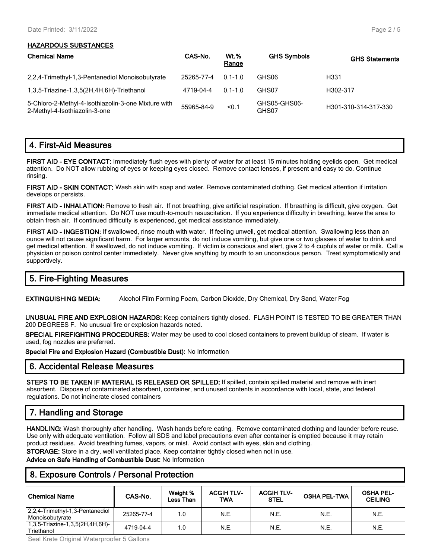#### **HAZARDOUS SUBSTANCES**

| <b>Chemical Name</b>                                                                 | CAS-No.    | <u>Wt.%</u><br>Range | <b>GHS Symbols</b>    | <b>GHS Statements</b> |
|--------------------------------------------------------------------------------------|------------|----------------------|-----------------------|-----------------------|
| 2,2,4-Trimethyl-1,3-Pentanediol Monoisobutyrate                                      | 25265-77-4 | $0.1 - 1.0$          | GHS06                 | H <sub>331</sub>      |
| 1,3,5-Triazine-1,3,5(2H,4H,6H)-Triethanol                                            | 4719-04-4  | $0.1 - 1.0$          | GHS07                 | H302-317              |
| 5-Chloro-2-Methyl-4-Isothiazolin-3-one Mixture with<br>2-Methyl-4-Isothiazolin-3-one | 55965-84-9 | < 0.1                | GHS05-GHS06-<br>GHS07 | H301-310-314-317-330  |

#### **4. First-Aid Measures**

**FIRST AID - EYE CONTACT:** Immediately flush eyes with plenty of water for at least 15 minutes holding eyelids open. Get medical attention. Do NOT allow rubbing of eyes or keeping eyes closed. Remove contact lenses, if present and easy to do. Continue rinsing.

**FIRST AID - SKIN CONTACT:** Wash skin with soap and water. Remove contaminated clothing. Get medical attention if irritation develops or persists.

**FIRST AID - INHALATION:** Remove to fresh air. If not breathing, give artificial respiration. If breathing is difficult, give oxygen. Get immediate medical attention. Do NOT use mouth-to-mouth resuscitation. If you experience difficulty in breathing, leave the area to obtain fresh air. If continued difficulty is experienced, get medical assistance immediately.

**FIRST AID - INGESTION:** If swallowed, rinse mouth with water. If feeling unwell, get medical attention. Swallowing less than an ounce will not cause significant harm. For larger amounts, do not induce vomiting, but give one or two glasses of water to drink and get medical attention. If swallowed, do not induce vomiting. If victim is conscious and alert, give 2 to 4 cupfuls of water or milk. Call a physician or poison control center immediately. Never give anything by mouth to an unconscious person. Treat symptomatically and supportively.

#### **5. Fire-Fighting Measures**

**EXTINGUISHING MEDIA:** Alcohol Film Forming Foam, Carbon Dioxide, Dry Chemical, Dry Sand, Water Fog

**UNUSUAL FIRE AND EXPLOSION HAZARDS:** Keep containers tightly closed. FLASH POINT IS TESTED TO BE GREATER THAN 200 DEGREES F. No unusual fire or explosion hazards noted.

**SPECIAL FIREFIGHTING PROCEDURES:** Water may be used to cool closed containers to prevent buildup of steam. If water is used, fog nozzles are preferred.

**Special Fire and Explosion Hazard (Combustible Dust):** No Information

#### **6. Accidental Release Measures**

**STEPS TO BE TAKEN IF MATERIAL IS RELEASED OR SPILLED:** If spilled, contain spilled material and remove with inert absorbent. Dispose of contaminated absorbent, container, and unused contents in accordance with local, state, and federal regulations. Do not incinerate closed containers

#### **7. Handling and Storage**

**HANDLING:** Wash thoroughly after handling. Wash hands before eating. Remove contaminated clothing and launder before reuse. Use only with adequate ventilation. Follow all SDS and label precautions even after container is emptied because it may retain product residues. Avoid breathing fumes, vapors, or mist. Avoid contact with eyes, skin and clothing.

**STORAGE:** Store in a dry, well ventilated place. Keep container tightly closed when not in use.

**Advice on Safe Handling of Combustible Dust:** No Information

#### **8. Exposure Controls / Personal Protection**

| <b>Chemical Name</b>                               | CAS-No.    | Weight %<br><b>Less Than</b> | <b>ACGIH TLV-</b><br>TWA | <b>ACGIH TLV-</b><br><b>STEL</b> | <b>OSHA PEL-TWA</b> | <b>OSHA PEL-</b><br><b>CEILING</b> |
|----------------------------------------------------|------------|------------------------------|--------------------------|----------------------------------|---------------------|------------------------------------|
| 2,2,4-Trimethyl-1,3-Pentanediol<br>Monoisobutvrate | 25265-77-4 | 1.0                          | N.E.                     | N.E.                             | N.E.                | N.E.                               |
| 1,3,5-Triazine-1,3,5(2H,4H,6H)-<br>Triethanol      | 4719-04-4  | 1.0                          | N.E.                     | N.E.                             | N.E.                | N.E.                               |

Seal Krete Original Waterproofer 5 Gallons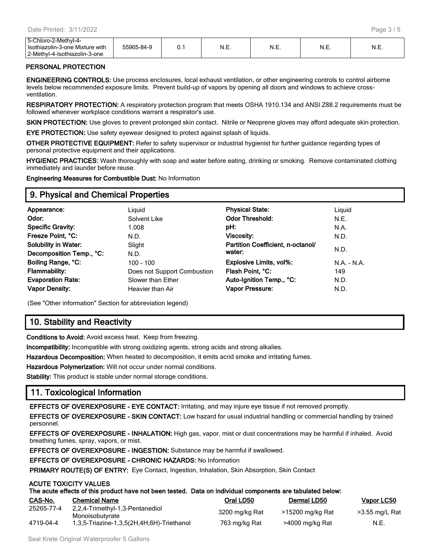| -Chloro-2-Methvl-4-<br>∽-<br>Isothiazolin-3-one Mixture with<br>3-Methyl-4-Isothiazolin-3<br>-3-one | 55965-84-ა | 0.1 | N<br>$\cdots$ | N.E. | N.E. | M<br>◥.∟. |
|-----------------------------------------------------------------------------------------------------|------------|-----|---------------|------|------|-----------|
|-----------------------------------------------------------------------------------------------------|------------|-----|---------------|------|------|-----------|

#### **PERSONAL PROTECTION**

**ENGINEERING CONTROLS:** Use process enclosures, local exhaust ventilation, or other engineering controls to control airborne levels below recommended exposure limits. Prevent build-up of vapors by opening all doors and windows to achieve crossventilation.

**RESPIRATORY PROTECTION:** A respiratory protection program that meets OSHA 1910.134 and ANSI Z88.2 requirements must be followed whenever workplace conditions warrant a respirator's use.

**SKIN PROTECTION:** Use gloves to prevent prolonged skin contact. Nitrile or Neoprene gloves may afford adequate skin protection.

**EYE PROTECTION:** Use safety eyewear designed to protect against splash of liquids.

**OTHER PROTECTIVE EQUIPMENT:** Refer to safety supervisor or industrial hygienist for further guidance regarding types of personal protective equipment and their applications.

**HYGIENIC PRACTICES:** Wash thoroughly with soap and water before eating, drinking or smoking. Remove contaminated clothing immediately and launder before reuse.

**Engineering Measures for Combustible Dust:** No Information

#### **9. Physical and Chemical Properties**

| Appearance:                 | Liguid                      | <b>Physical State:</b>            | Liguid    |
|-----------------------------|-----------------------------|-----------------------------------|-----------|
| Odor:                       | Solvent Like                | <b>Odor Threshold:</b>            | N.E.      |
| <b>Specific Gravity:</b>    | 1.008                       | pH:                               | N.A.      |
| Freeze Point, °C:           | N.D.                        | Viscosity:                        | N.D.      |
| <b>Solubility in Water:</b> | Slight                      | Partition Coefficient, n-octanol/ |           |
| Decomposition Temp., °C:    | N.D.                        | water:                            | N.D.      |
| Boiling Range, °C:          | 100 - 100                   | Explosive Limits, vol%:           | $NA - NA$ |
| <b>Flammability:</b>        | Does not Support Combustion | Flash Point, °C:                  | 149       |
| <b>Evaporation Rate:</b>    | Slower than Ether           | Auto-Ignition Temp., °C:          | N.D.      |
| <b>Vapor Density:</b>       | Heavier than Air            | <b>Vapor Pressure:</b>            | N.D.      |
|                             |                             |                                   |           |

(See "Other information" Section for abbreviation legend)

#### **10. Stability and Reactivity**

**Conditions to Avoid:** Avoid excess heat. Keep from freezing.

**Incompatibility:** Incompatible with strong oxidizing agents, strong acids and strong alkalies.

**Hazardous Decomposition:** When heated to decomposition, it emits acrid smoke and irritating fumes.

**Hazardous Polymerization:** Will not occur under normal conditions.

**Stability:** This product is stable under normal storage conditions.

#### **11. Toxicological Information**

**ACUTE TOXICITY VALUES**

**EFFECTS OF OVEREXPOSURE - EYE CONTACT:** Irritating, and may injure eye tissue if not removed promptly.

**EFFECTS OF OVEREXPOSURE - SKIN CONTACT:** Low hazard for usual industrial handling or commercial handling by trained personnel.

**EFFECTS OF OVEREXPOSURE - INHALATION:** High gas, vapor, mist or dust concentrations may be harmful if inhaled. Avoid breathing fumes, spray, vapors, or mist.

**EFFECTS OF OVEREXPOSURE - INGESTION:** Substance may be harmful if swallowed.

**EFFECTS OF OVEREXPOSURE - CHRONIC HAZARDS:** No Information

**PRIMARY ROUTE(S) OF ENTRY:** Eye Contact, Ingestion, Inhalation, Skin Absorption, Skin Contact

| The acute effects of this product have not been tested. Data on individual components are tabulated below: |  |
|------------------------------------------------------------------------------------------------------------|--|

| CAS-No.    | <b>Chemical Name</b>                               | Oral LD50      | Dermal LD50      | Vapor LC50     |
|------------|----------------------------------------------------|----------------|------------------|----------------|
| 25265-77-4 | 2,2,4-Trimethyl-1,3-Pentanediol<br>Monoisobutyrate | 3200 mg/kg Rat | >15200 mg/kg Rat | >3.55 mg/L Rat |
| 4719-04-4  | 1,3,5-Triazine-1,3,5(2H,4H,6H)-Triethanol          | 763 mg/kg Rat  | >4000 mg/kg Rat  | N.E.           |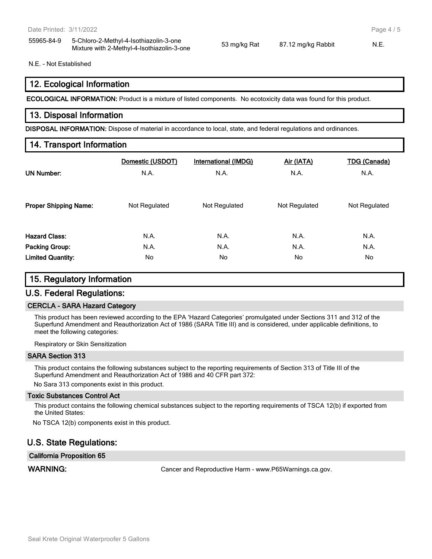55965-84-9 5-Chloro-2-Methyl-4-Isothiazolin-3-one Mixture with 2-Methyl-4-Isothiazolin-3-one 53 mg/kg Rat 87.12 mg/kg Rabbit N.E.

N.E. - Not Established

#### **12. Ecological Information**

**ECOLOGICAL INFORMATION:** Product is a mixture of listed components. No ecotoxicity data was found for this product.

#### **13. Disposal Information**

**DISPOSAL INFORMATION:** Dispose of material in accordance to local, state, and federal regulations and ordinances.

#### **14. Transport Information**

| <b>UN Number:</b>            | Domestic (USDOT) | <b>International (IMDG)</b> | Air (IATA)    | <b>TDG (Canada)</b> |
|------------------------------|------------------|-----------------------------|---------------|---------------------|
|                              | N.A.             | N.A.                        | N.A.          | N.A.                |
| <b>Proper Shipping Name:</b> | Not Regulated    | Not Regulated               | Not Regulated | Not Regulated       |
| <b>Hazard Class:</b>         | N.A.             | N.A.                        | N.A.          | N.A.                |
| Packing Group:               | N.A.             | N.A.                        | N.A.          | N.A.                |
| <b>Limited Quantity:</b>     | No.              | No                          | No.           | No                  |

#### **15. Regulatory Information**

#### **U.S. Federal Regulations:**

#### **CERCLA - SARA Hazard Category**

This product has been reviewed according to the EPA 'Hazard Categories' promulgated under Sections 311 and 312 of the Superfund Amendment and Reauthorization Act of 1986 (SARA Title III) and is considered, under applicable definitions, to meet the following categories:

Respiratory or Skin Sensitization

#### **SARA Section 313**

This product contains the following substances subject to the reporting requirements of Section 313 of Title III of the Superfund Amendment and Reauthorization Act of 1986 and 40 CFR part 372:

No Sara 313 components exist in this product.

#### **Toxic Substances Control Act**

This product contains the following chemical substances subject to the reporting requirements of TSCA 12(b) if exported from the United States:

No TSCA 12(b) components exist in this product.

#### **U.S. State Regulations:**

#### **California Proposition 65**

WARNING: **WARNING:** Cancer and Reproductive Harm - www.P65Warnings.ca.gov.